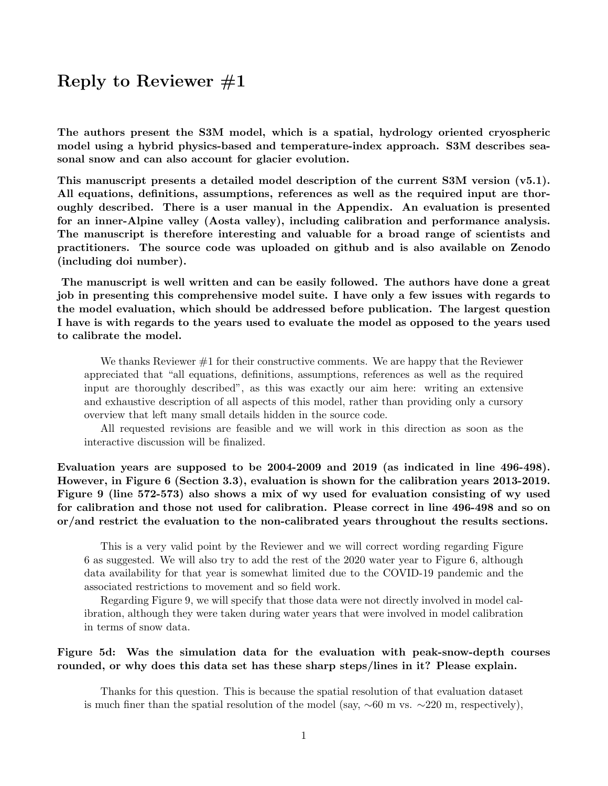# Reply to Reviewer  $\#1$

The authors present the S3M model, which is a spatial, hydrology oriented cryospheric model using a hybrid physics-based and temperature-index approach. S3M describes seasonal snow and can also account for glacier evolution.

This manuscript presents a detailed model description of the current S3M version (v5.1). All equations, definitions, assumptions, references as well as the required input are thoroughly described. There is a user manual in the Appendix. An evaluation is presented for an inner-Alpine valley (Aosta valley), including calibration and performance analysis. The manuscript is therefore interesting and valuable for a broad range of scientists and practitioners. The source code was uploaded on github and is also available on Zenodo (including doi number).

The manuscript is well written and can be easily followed. The authors have done a great job in presenting this comprehensive model suite. I have only a few issues with regards to the model evaluation, which should be addressed before publication. The largest question I have is with regards to the years used to evaluate the model as opposed to the years used to calibrate the model.

We thanks Reviewer  $\#1$  for their constructive comments. We are happy that the Reviewer appreciated that "all equations, definitions, assumptions, references as well as the required input are thoroughly described", as this was exactly our aim here: writing an extensive and exhaustive description of all aspects of this model, rather than providing only a cursory overview that left many small details hidden in the source code.

All requested revisions are feasible and we will work in this direction as soon as the interactive discussion will be finalized.

Evaluation years are supposed to be 2004-2009 and 2019 (as indicated in line 496-498). However, in Figure 6 (Section 3.3), evaluation is shown for the calibration years 2013-2019. Figure 9 (line 572-573) also shows a mix of wy used for evaluation consisting of wy used for calibration and those not used for calibration. Please correct in line 496-498 and so on or/and restrict the evaluation to the non-calibrated years throughout the results sections.

This is a very valid point by the Reviewer and we will correct wording regarding Figure 6 as suggested. We will also try to add the rest of the 2020 water year to Figure 6, although data availability for that year is somewhat limited due to the COVID-19 pandemic and the associated restrictions to movement and so field work.

Regarding Figure 9, we will specify that those data were not directly involved in model calibration, although they were taken during water years that were involved in model calibration in terms of snow data.

#### Figure 5d: Was the simulation data for the evaluation with peak-snow-depth courses rounded, or why does this data set has these sharp steps/lines in it? Please explain.

Thanks for this question. This is because the spatial resolution of that evaluation dataset is much finer than the spatial resolution of the model (say,  $\sim 60$  m vs.  $\sim 220$  m, respectively),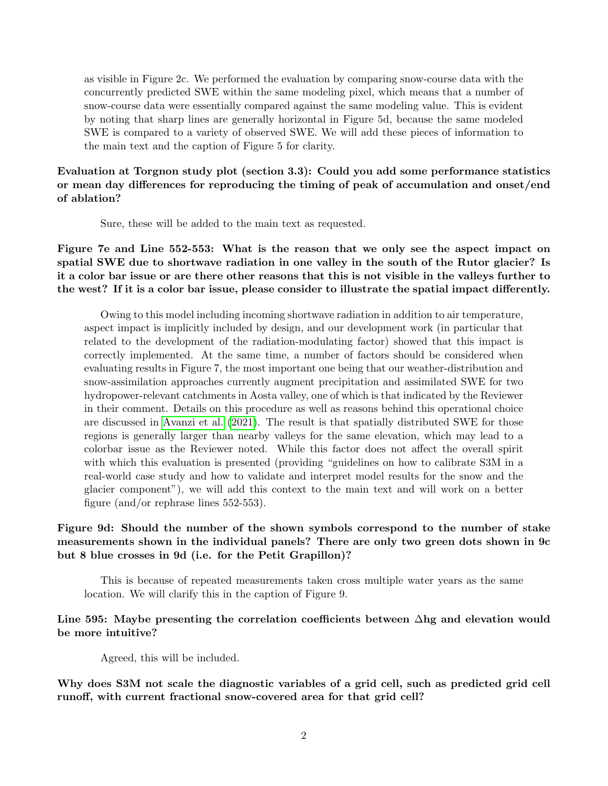as visible in Figure 2c. We performed the evaluation by comparing snow-course data with the concurrently predicted SWE within the same modeling pixel, which means that a number of snow-course data were essentially compared against the same modeling value. This is evident by noting that sharp lines are generally horizontal in Figure 5d, because the same modeled SWE is compared to a variety of observed SWE. We will add these pieces of information to the main text and the caption of Figure 5 for clarity.

### Evaluation at Torgnon study plot (section 3.3): Could you add some performance statistics or mean day differences for reproducing the timing of peak of accumulation and onset/end of ablation?

Sure, these will be added to the main text as requested.

Figure 7e and Line 552-553: What is the reason that we only see the aspect impact on spatial SWE due to shortwave radiation in one valley in the south of the Rutor glacier? Is it a color bar issue or are there other reasons that this is not visible in the valleys further to the west? If it is a color bar issue, please consider to illustrate the spatial impact differently.

Owing to this model including incoming shortwave radiation in addition to air temperature, aspect impact is implicitly included by design, and our development work (in particular that related to the development of the radiation-modulating factor) showed that this impact is correctly implemented. At the same time, a number of factors should be considered when evaluating results in Figure 7, the most important one being that our weather-distribution and snow-assimilation approaches currently augment precipitation and assimilated SWE for two hydropower-relevant catchments in Aosta valley, one of which is that indicated by the Reviewer in their comment. Details on this procedure as well as reasons behind this operational choice are discussed in [Avanzi et al.](#page-2-0) [\(2021\)](#page-2-0). The result is that spatially distributed SWE for those regions is generally larger than nearby valleys for the same elevation, which may lead to a colorbar issue as the Reviewer noted. While this factor does not affect the overall spirit with which this evaluation is presented (providing "guidelines on how to calibrate S3M in a real-world case study and how to validate and interpret model results for the snow and the glacier component"), we will add this context to the main text and will work on a better figure (and/or rephrase lines 552-553).

# Figure 9d: Should the number of the shown symbols correspond to the number of stake measurements shown in the individual panels? There are only two green dots shown in 9c but 8 blue crosses in 9d (i.e. for the Petit Grapillon)?

This is because of repeated measurements taken cross multiple water years as the same location. We will clarify this in the caption of Figure 9.

## Line 595: Maybe presenting the correlation coefficients between ∆hg and elevation would be more intuitive?

Agreed, this will be included.

Why does S3M not scale the diagnostic variables of a grid cell, such as predicted grid cell runoff, with current fractional snow-covered area for that grid cell?